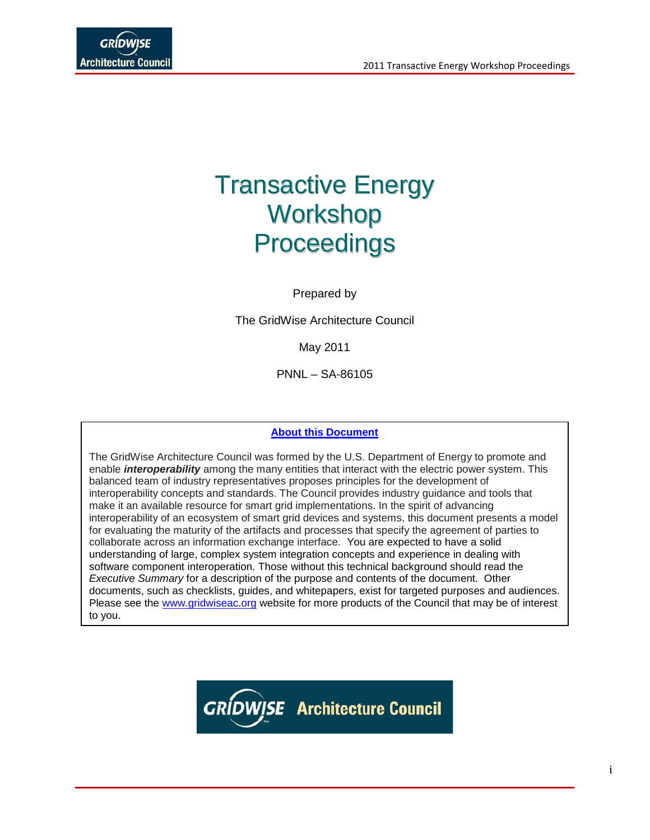# Transactive Energy Workshop **Proceedings**

Prepared by

The GridWise Architecture Council

May 2011

PNNL – SA-86105

### **About this Document**

The GridWise Architecture Council was formed by the U.S. Department of Energy to promote and enable *interoperability* among the many entities that interact with the electric power system. This balanced team of industry representatives proposes principles for the development of interoperability concepts and standards. The Council provides industry guidance and tools that make it an available resource for smart grid implementations. In the spirit of advancing interoperability of an ecosystem of smart grid devices and systems, this document presents a model for evaluating the maturity of the artifacts and processes that specify the agreement of parties to collaborate across an information exchange interface. You are expected to have a solid understanding of large, complex system integration concepts and experience in dealing with software component interoperation. Those without this technical background should read the *Executive Summary* for a description of the purpose and contents of the document. Other documents, such as checklists, guides, and whitepapers, exist for targeted purposes and audiences. Please see the [www.gridwiseac.org](http://www.gridwiseac.org/) website for more products of the Council that may be of interest to you.

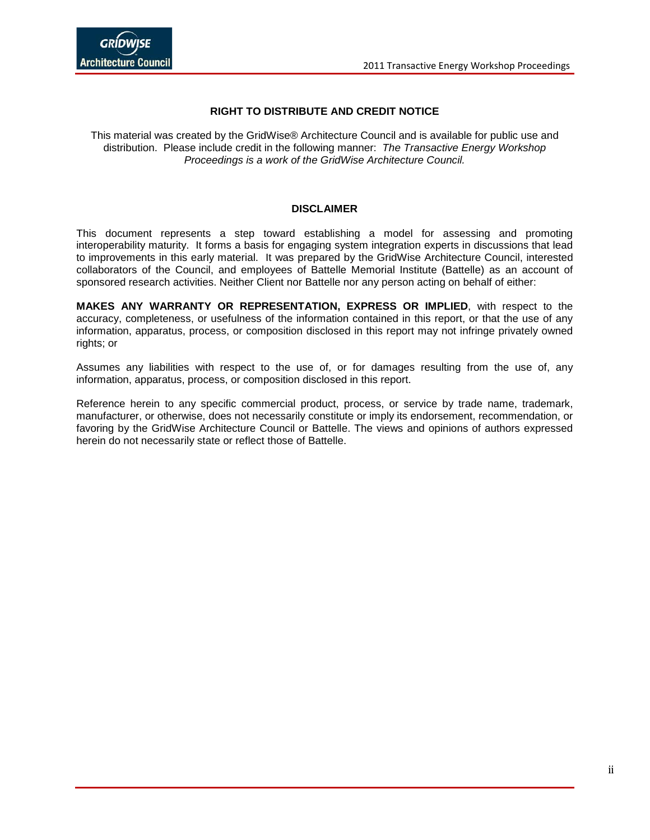### **RIGHT TO DISTRIBUTE AND CREDIT NOTICE**

This material was created by the GridWise® Architecture Council and is available for public use and distribution. Please include credit in the following manner: *The Transactive Energy Workshop Proceedings is a work of the GridWise Architecture Council.*

#### **DISCLAIMER**

This document represents a step toward establishing a model for assessing and promoting interoperability maturity. It forms a basis for engaging system integration experts in discussions that lead to improvements in this early material. It was prepared by the GridWise Architecture Council, interested collaborators of the Council, and employees of Battelle Memorial Institute (Battelle) as an account of sponsored research activities. Neither Client nor Battelle nor any person acting on behalf of either:

**MAKES ANY WARRANTY OR REPRESENTATION, EXPRESS OR IMPLIED**, with respect to the accuracy, completeness, or usefulness of the information contained in this report, or that the use of any information, apparatus, process, or composition disclosed in this report may not infringe privately owned rights; or

Assumes any liabilities with respect to the use of, or for damages resulting from the use of, any information, apparatus, process, or composition disclosed in this report.

Reference herein to any specific commercial product, process, or service by trade name, trademark, manufacturer, or otherwise, does not necessarily constitute or imply its endorsement, recommendation, or favoring by the GridWise Architecture Council or Battelle. The views and opinions of authors expressed herein do not necessarily state or reflect those of Battelle.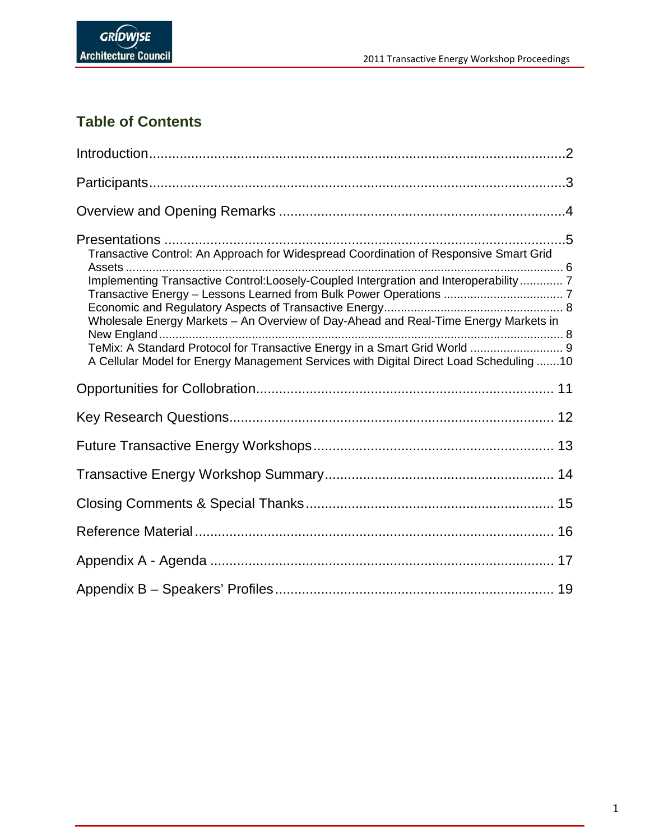

### **Table of Contents**

| Transactive Control: An Approach for Widespread Coordination of Responsive Smart Grid                                                                                       |  |
|-----------------------------------------------------------------------------------------------------------------------------------------------------------------------------|--|
| Implementing Transactive Control:Loosely-Coupled Intergration and Interoperability 7<br>Wholesale Energy Markets - An Overview of Day-Ahead and Real-Time Energy Markets in |  |
| TeMix: A Standard Protocol for Transactive Energy in a Smart Grid World  9<br>A Cellular Model for Energy Management Services with Digital Direct Load Scheduling 10        |  |
|                                                                                                                                                                             |  |
|                                                                                                                                                                             |  |
|                                                                                                                                                                             |  |
|                                                                                                                                                                             |  |
|                                                                                                                                                                             |  |
|                                                                                                                                                                             |  |
|                                                                                                                                                                             |  |
|                                                                                                                                                                             |  |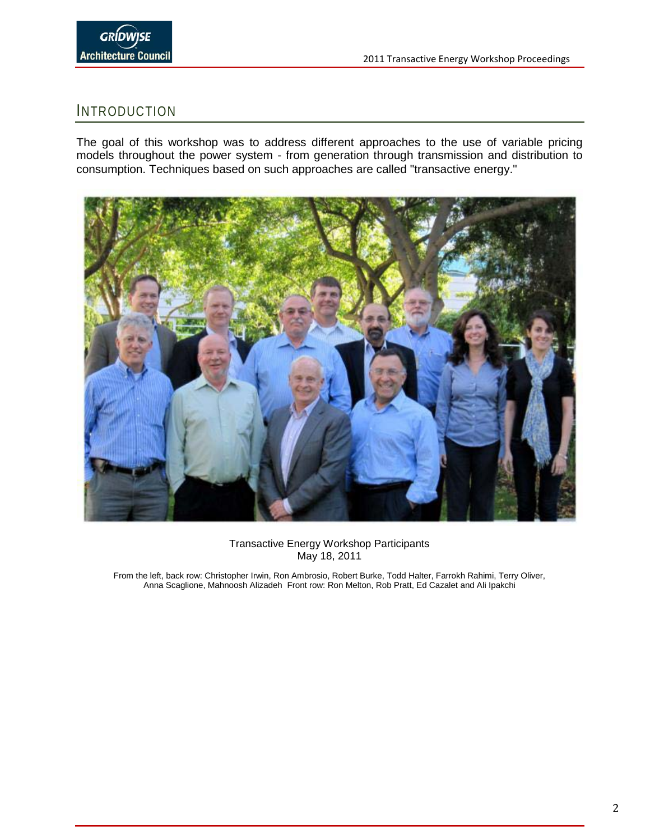### <span id="page-3-0"></span>INTRODUCTION

The goal of this workshop was to address different approaches to the use of variable pricing models throughout the power system - from generation through transmission and distribution to consumption. Techniques based on such approaches are called "transactive energy."



Transactive Energy Workshop Participants May 18, 2011

From the left, back row: Christopher Irwin, Ron Ambrosio, Robert Burke, Todd Halter, Farrokh Rahimi, Terry Oliver, Anna Scaglione, Mahnoosh Alizadeh Front row: Ron Melton, Rob Pratt, Ed Cazalet and Ali Ipakchi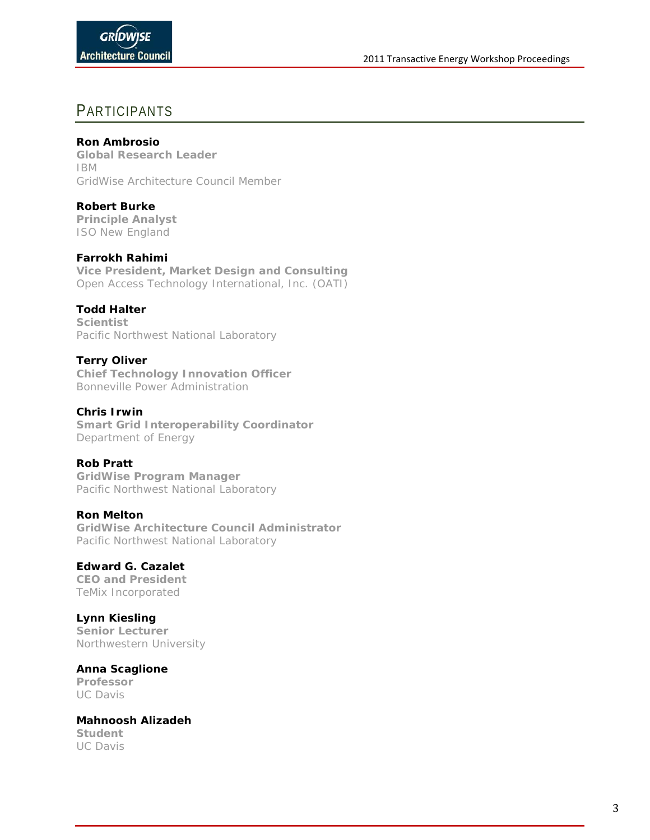### <span id="page-4-0"></span>PARTICIPANTS

### **Ron Ambrosio**

**Global Research Leader** IBM GridWise Architecture Council Member

**Robert Burke**

**Principle Analyst** ISO New England

### **Farrokh Rahimi**

**Vice President, Market Design and Consulting** Open Access Technology International, Inc. (OATI)

### **Todd Halter**

**Scientist** Pacific Northwest National Laboratory

### **Terry Oliver**

**Chief Technology Innovation Officer**  Bonneville Power Administration

### **Chris Irwin**

**Smart Grid Interoperability Coordinator** Department of Energy

### **Rob Pratt**

**GridWise Program Manager** Pacific Northwest National Laboratory

### **Ron Melton**

**GridWise Architecture Council Administrator** Pacific Northwest National Laboratory

#### **Edward G. Cazalet CEO and President**

TeMix Incorporated

### **Lynn Kiesling**

**Senior Lecturer** Northwestern University

### **Anna Scaglione**

**Professor** UC Davis

#### **Mahnoosh Alizadeh Student** UC Davis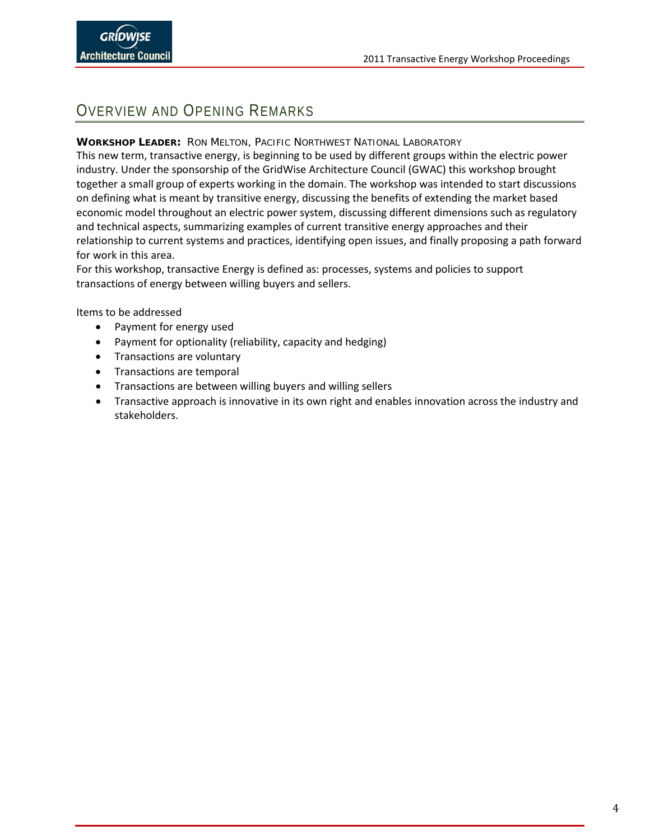### <span id="page-5-0"></span>OVERVIEW AND OPENING REMARKS

### **WORKSHOP LEADER:** RON MELTON, PACIFIC NORTHWEST NATIONAL LABORATORY

This new term, transactive energy, is beginning to be used by different groups within the electric power industry. Under the sponsorship of the GridWise Architecture Council (GWAC) this workshop brought together a small group of experts working in the domain. The workshop was intended to start discussions on defining what is meant by transitive energy, discussing the benefits of extending the market based economic model throughout an electric power system, discussing different dimensions such as regulatory and technical aspects, summarizing examples of current transitive energy approaches and their relationship to current systems and practices, identifying open issues, and finally proposing a path forward for work in this area.

For this workshop, transactive Energy is defined as: processes, systems and policies to support transactions of energy between willing buyers and sellers.

Items to be addressed

- Payment for energy used
- Payment for optionality (reliability, capacity and hedging)
- Transactions are voluntary
- Transactions are temporal
- Transactions are between willing buyers and willing sellers
- Transactive approach is innovative in its own right and enables innovation across the industry and stakeholders.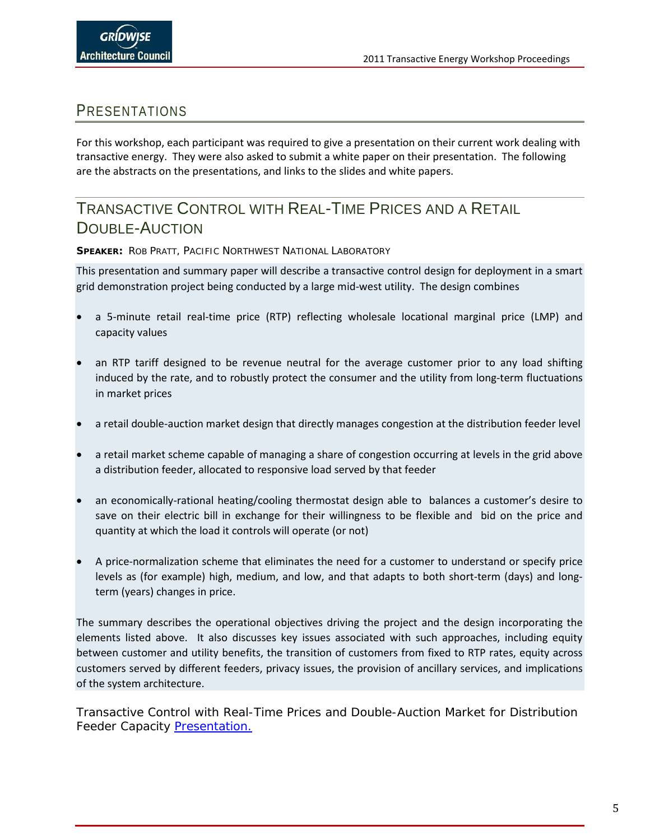### <span id="page-6-0"></span>PRESENTATIONS

For this workshop, each participant was required to give a presentation on their current work dealing with transactive energy. They were also asked to submit a white paper on their presentation. The following are the abstracts on the presentations, and links to the slides and white papers.

### TRANSACTIVE CONTROL WITH REAL-TIME PRICES AND A RETAIL DOUBLE-AUCTION

**SPEAKER:** ROB PRATT, PACIFIC NORTHWEST NATIONAL LABORATORY

This presentation and summary paper will describe a transactive control design for deployment in a smart grid demonstration project being conducted by a large mid-west utility. The design combines

- a 5-minute retail real-time price (RTP) reflecting wholesale locational marginal price (LMP) and capacity values
- an RTP tariff designed to be revenue neutral for the average customer prior to any load shifting induced by the rate, and to robustly protect the consumer and the utility from long-term fluctuations in market prices
- a retail double-auction market design that directly manages congestion at the distribution feeder level
- a retail market scheme capable of managing a share of congestion occurring at levels in the grid above a distribution feeder, allocated to responsive load served by that feeder
- an economically-rational heating/cooling thermostat design able to balances a customer's desire to save on their electric bill in exchange for their willingness to be flexible and bid on the price and quantity at which the load it controls will operate (or not)
- A price-normalization scheme that eliminates the need for a customer to understand or specify price levels as (for example) high, medium, and low, and that adapts to both short-term (days) and longterm (years) changes in price.

The summary describes the operational objectives driving the project and the design incorporating the elements listed above. It also discusses key issues associated with such approaches, including equity between customer and utility benefits, the transition of customers from fixed to RTP rates, equity across customers served by different feeders, privacy issues, the provision of ancillary services, and implications of the system architecture.

Transactive Control with Real-Time Prices and Double-Auction Market for Distribution Feeder Capacity [Presentation.](http://www.gridwiseac.org/pdfs/tew_2011/presentations/prattpres_tew11.pdf)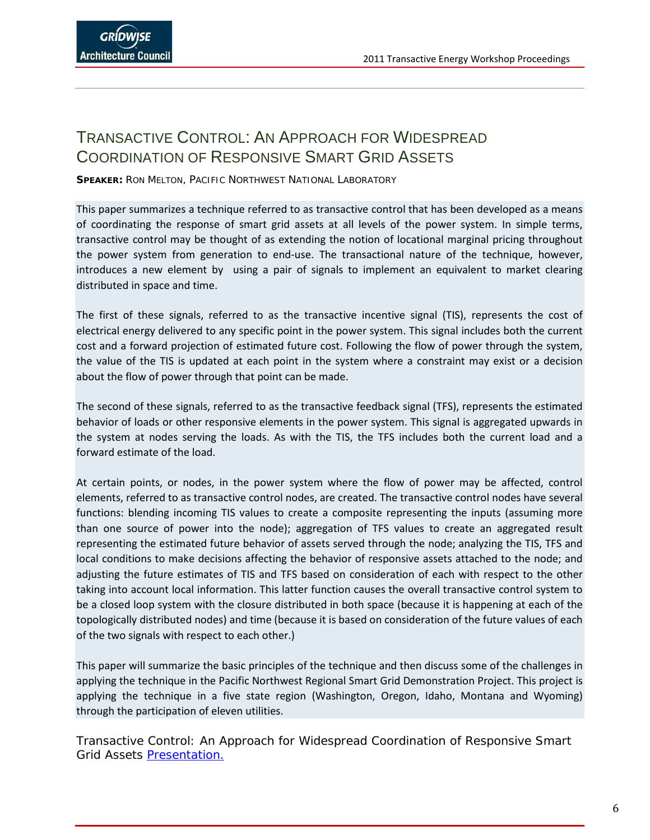### <span id="page-7-0"></span>TRANSACTIVE CONTROL: AN APPROACH FOR WIDESPREAD COORDINATION OF RESPONSIVE SMART GRID ASSETS

**SPEAKER:** RON MELTON, PACIFIC NORTHWEST NATIONAL LABORATORY

This paper summarizes a technique referred to as transactive control that has been developed as a means of coordinating the response of smart grid assets at all levels of the power system. In simple terms, transactive control may be thought of as extending the notion of locational marginal pricing throughout the power system from generation to end-use. The transactional nature of the technique, however, introduces a new element by using a pair of signals to implement an equivalent to market clearing distributed in space and time.

The first of these signals, referred to as the transactive incentive signal (TIS), represents the cost of electrical energy delivered to any specific point in the power system. This signal includes both the current cost and a forward projection of estimated future cost. Following the flow of power through the system, the value of the TIS is updated at each point in the system where a constraint may exist or a decision about the flow of power through that point can be made.

The second of these signals, referred to as the transactive feedback signal (TFS), represents the estimated behavior of loads or other responsive elements in the power system. This signal is aggregated upwards in the system at nodes serving the loads. As with the TIS, the TFS includes both the current load and a forward estimate of the load.

At certain points, or nodes, in the power system where the flow of power may be affected, control elements, referred to as transactive control nodes, are created. The transactive control nodes have several functions: blending incoming TIS values to create a composite representing the inputs (assuming more than one source of power into the node); aggregation of TFS values to create an aggregated result representing the estimated future behavior of assets served through the node; analyzing the TIS, TFS and local conditions to make decisions affecting the behavior of responsive assets attached to the node; and adjusting the future estimates of TIS and TFS based on consideration of each with respect to the other taking into account local information. This latter function causes the overall transactive control system to be a closed loop system with the closure distributed in both space (because it is happening at each of the topologically distributed nodes) and time (because it is based on consideration of the future values of each of the two signals with respect to each other.)

This paper will summarize the basic principles of the technique and then discuss some of the challenges in applying the technique in the Pacific Northwest Regional Smart Grid Demonstration Project. This project is applying the technique in a five state region (Washington, Oregon, Idaho, Montana and Wyoming) through the participation of eleven utilities.

Transactive Control: An Approach for Widespread Coordination of Responsive Smart Grid Assets [Presentation.](http://www.gridwiseac.org/pdfs/tew_2011/presentations/meltonpres_tew11.pdf)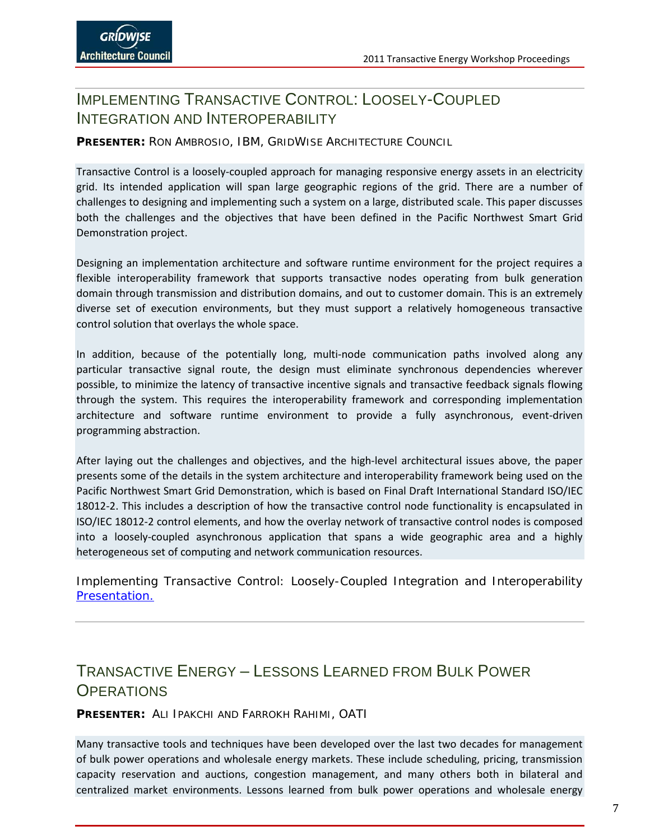### <span id="page-8-0"></span>IMPLEMENTING TRANSACTIVE CONTROL: LOOSELY-COUPLED INTEGRATION AND INTEROPERABILITY

### **PRESENTER:** RON AMBROSIO, IBM, GRIDWISE ARCHITECTURE COUNCIL

Transactive Control is a loosely-coupled approach for managing responsive energy assets in an electricity grid. Its intended application will span large geographic regions of the grid. There are a number of challenges to designing and implementing such a system on a large, distributed scale. This paper discusses both the challenges and the objectives that have been defined in the Pacific Northwest Smart Grid Demonstration project.

Designing an implementation architecture and software runtime environment for the project requires a flexible interoperability framework that supports transactive nodes operating from bulk generation domain through transmission and distribution domains, and out to customer domain. This is an extremely diverse set of execution environments, but they must support a relatively homogeneous transactive control solution that overlays the whole space.

In addition, because of the potentially long, multi-node communication paths involved along any particular transactive signal route, the design must eliminate synchronous dependencies wherever possible, to minimize the latency of transactive incentive signals and transactive feedback signals flowing through the system. This requires the interoperability framework and corresponding implementation architecture and software runtime environment to provide a fully asynchronous, event-driven programming abstraction.

After laying out the challenges and objectives, and the high-level architectural issues above, the paper presents some of the details in the system architecture and interoperability framework being used on the Pacific Northwest Smart Grid Demonstration, which is based on Final Draft International Standard ISO/IEC 18012-2. This includes a description of how the transactive control node functionality is encapsulated in ISO/IEC 18012-2 control elements, and how the overlay network of transactive control nodes is composed into a loosely-coupled asynchronous application that spans a wide geographic area and a highly heterogeneous set of computing and network communication resources.

Implementing Transactive Control: Loosely-Coupled Integration and Interoperability [Presentation.](http://www.gridwiseac.org/pdfs/tew_2011/presentations/ambrosiopres_tew11.pdf)

### <span id="page-8-1"></span>TRANSACTIVE ENERGY – LESSONS LEARNED FROM BULK POWER **OPERATIONS**

**PRESENTER:** ALI IPAKCHI AND FARROKH RAHIMI, OATI

Many transactive tools and techniques have been developed over the last two decades for management of bulk power operations and wholesale energy markets. These include scheduling, pricing, transmission capacity reservation and auctions, congestion management, and many others both in bilateral and centralized market environments. Lessons learned from bulk power operations and wholesale energy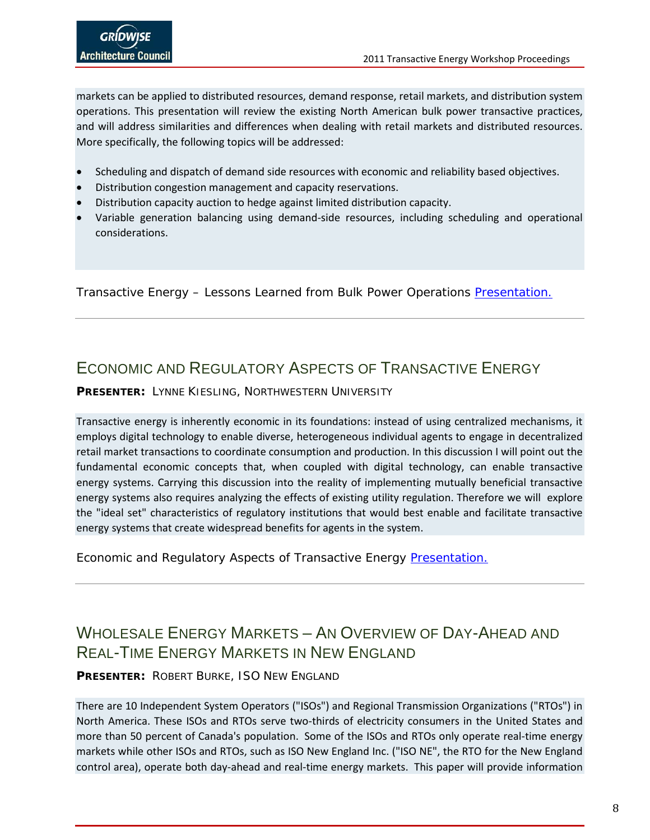markets can be applied to distributed resources, demand response, retail markets, and distribution system operations. This presentation will review the existing North American bulk power transactive practices, and will address similarities and differences when dealing with retail markets and distributed resources. More specifically, the following topics will be addressed:

- Scheduling and dispatch of demand side resources with economic and reliability based objectives.
- Distribution congestion management and capacity reservations.
- Distribution capacity auction to hedge against limited distribution capacity.
- Variable generation balancing using demand-side resources, including scheduling and operational considerations.

Transactive Energy – Lessons Learned from Bulk Power Operations [Presentation.](http://www.gridwiseac.org/pdfs/tew_2011/presentations/ipakchipres_tew11.pdf)

## <span id="page-9-0"></span>ECONOMIC AND REGULATORY ASPECTS OF TRANSACTIVE ENFRGY

**PRESENTER:** LYNNE KIESLING, NORTHWESTERN UNIVERSITY

Transactive energy is inherently economic in its foundations: instead of using centralized mechanisms, it employs digital technology to enable diverse, heterogeneous individual agents to engage in decentralized retail market transactions to coordinate consumption and production. In this discussion I will point out the fundamental economic concepts that, when coupled with digital technology, can enable transactive energy systems. Carrying this discussion into the reality of implementing mutually beneficial transactive energy systems also requires analyzing the effects of existing utility regulation. Therefore we will explore the "ideal set" characteristics of regulatory institutions that would best enable and facilitate transactive energy systems that create widespread benefits for agents in the system.

Economic and Regulatory Aspects of Transactive Energy [Presentation.](http://www.gridwiseac.org/pdfs/tew_2011/presentations/kieslingpres_tew11.pdf)

## <span id="page-9-1"></span>WHOLESALE ENFRGY MARKETS - AN OVERVIEW OF DAY-AHEAD AND REAL-TIME ENERGY MARKETS IN NEW ENGLAND

**PRESENTER:** ROBERT BURKE, ISO NEW ENGLAND

There are 10 Independent System Operators ("ISOs") and Regional Transmission Organizations ("RTOs") in North America. These ISOs and RTOs serve two-thirds of electricity consumers in the United States and more than 50 percent of Canada's population. Some of the ISOs and RTOs only operate real-time energy markets while other ISOs and RTOs, such as ISO New England Inc. ("ISO NE", the RTO for the New England control area), operate both day-ahead and real-time energy markets. This paper will provide information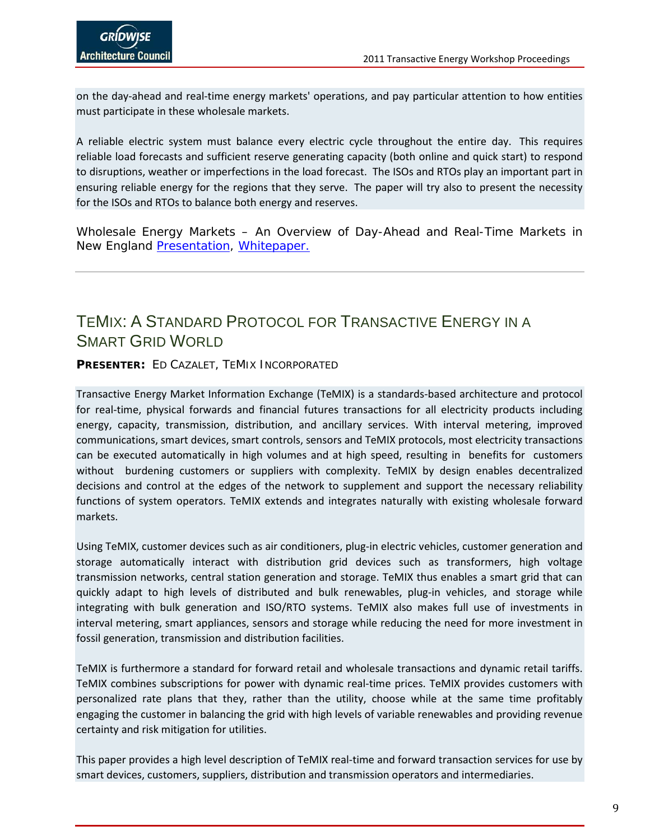on the day-ahead and real-time energy markets' operations, and pay particular attention to how entities must participate in these wholesale markets.

A reliable electric system must balance every electric cycle throughout the entire day. This requires reliable load forecasts and sufficient reserve generating capacity (both online and quick start) to respond to disruptions, weather or imperfections in the load forecast. The ISOs and RTOs play an important part in ensuring reliable energy for the regions that they serve. The paper will try also to present the necessity for the ISOs and RTOs to balance both energy and reserves.

Wholesale Energy Markets – An Overview of Day-Ahead and Real-Time Markets in New England **Presentation**, [Whitepaper.](http://www.gridwiseac.org/pdfs/tew_2011/abstracts/burkeab_tew11.pdfhttp:/www.gridwiseac.org/pdfs/tew_2011/abstracts/burkeab_tew11.pdf)

### <span id="page-10-0"></span>TEMIX: A STANDARD PROTOCOL FOR TRANSACTIVE ENERGY IN A SMART GRID WORLD

**PRESENTER:** ED CAZALET, TEMIX INCORPORATED

Transactive Energy Market Information Exchange (TeMIX) is a standards-based architecture and protocol for real-time, physical forwards and financial futures transactions for all electricity products including energy, capacity, transmission, distribution, and ancillary services. With interval metering, improved communications, smart devices, smart controls, sensors and TeMIX protocols, most electricity transactions can be executed automatically in high volumes and at high speed, resulting in benefits for customers without burdening customers or suppliers with complexity. TeMIX by design enables decentralized decisions and control at the edges of the network to supplement and support the necessary reliability functions of system operators. TeMIX extends and integrates naturally with existing wholesale forward markets.

Using TeMIX, customer devices such as air conditioners, plug-in electric vehicles, customer generation and storage automatically interact with distribution grid devices such as transformers, high voltage transmission networks, central station generation and storage. TeMIX thus enables a smart grid that can quickly adapt to high levels of distributed and bulk renewables, plug-in vehicles, and storage while integrating with bulk generation and ISO/RTO systems. TeMIX also makes full use of investments in interval metering, smart appliances, sensors and storage while reducing the need for more investment in fossil generation, transmission and distribution facilities.

TeMIX is furthermore a standard for forward retail and wholesale transactions and dynamic retail tariffs. TeMIX combines subscriptions for power with dynamic real-time prices. TeMIX provides customers with personalized rate plans that they, rather than the utility, choose while at the same time profitably engaging the customer in balancing the grid with high levels of variable renewables and providing revenue certainty and risk mitigation for utilities.

This paper provides a high level description of TeMIX real-time and forward transaction services for use by smart devices, customers, suppliers, distribution and transmission operators and intermediaries.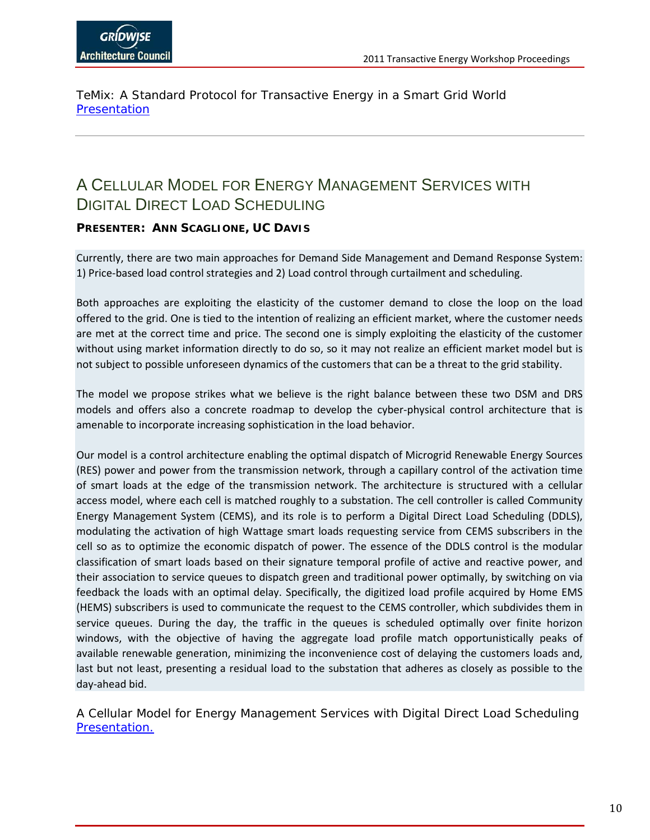TeMix: A Standard Protocol for Transactive Energy in a Smart Grid World **Presentation** 

### <span id="page-11-0"></span>A CELLULAR MODEL FOR ENERGY MANAGEMENT SERVICES WITH DIGITAL DIRECT LOAD SCHEDULING

### **PRESENTER: ANN SCAGLIONE, UC DAVIS**

Currently, there are two main approaches for Demand Side Management and Demand Response System: 1) Price-based load control strategies and 2) Load control through curtailment and scheduling.

Both approaches are exploiting the elasticity of the customer demand to close the loop on the load offered to the grid. One is tied to the intention of realizing an efficient market, where the customer needs are met at the correct time and price. The second one is simply exploiting the elasticity of the customer without using market information directly to do so, so it may not realize an efficient market model but is not subject to possible unforeseen dynamics of the customers that can be a threat to the grid stability.

The model we propose strikes what we believe is the right balance between these two DSM and DRS models and offers also a concrete roadmap to develop the cyber-physical control architecture that is amenable to incorporate increasing sophistication in the load behavior.

Our model is a control architecture enabling the optimal dispatch of Microgrid Renewable Energy Sources (RES) power and power from the transmission network, through a capillary control of the activation time of smart loads at the edge of the transmission network. The architecture is structured with a cellular access model, where each cell is matched roughly to a substation. The cell controller is called Community Energy Management System (CEMS), and its role is to perform a Digital Direct Load Scheduling (DDLS), modulating the activation of high Wattage smart loads requesting service from CEMS subscribers in the cell so as to optimize the economic dispatch of power. The essence of the DDLS control is the modular classification of smart loads based on their signature temporal profile of active and reactive power, and their association to service queues to dispatch green and traditional power optimally, by switching on via feedback the loads with an optimal delay. Specifically, the digitized load profile acquired by Home EMS (HEMS) subscribers is used to communicate the request to the CEMS controller, which subdivides them in service queues. During the day, the traffic in the queues is scheduled optimally over finite horizon windows, with the objective of having the aggregate load profile match opportunistically peaks of available renewable generation, minimizing the inconvenience cost of delaying the customers loads and, last but not least, presenting a residual load to the substation that adheres as closely as possible to the day-ahead bid.

A Cellular Model for Energy Management Services with Digital Direct Load Scheduling [Presentation.](http://www.gridwiseac.org/pdfs/tew_2011/presentations/scagilonepres_tew11.pdf)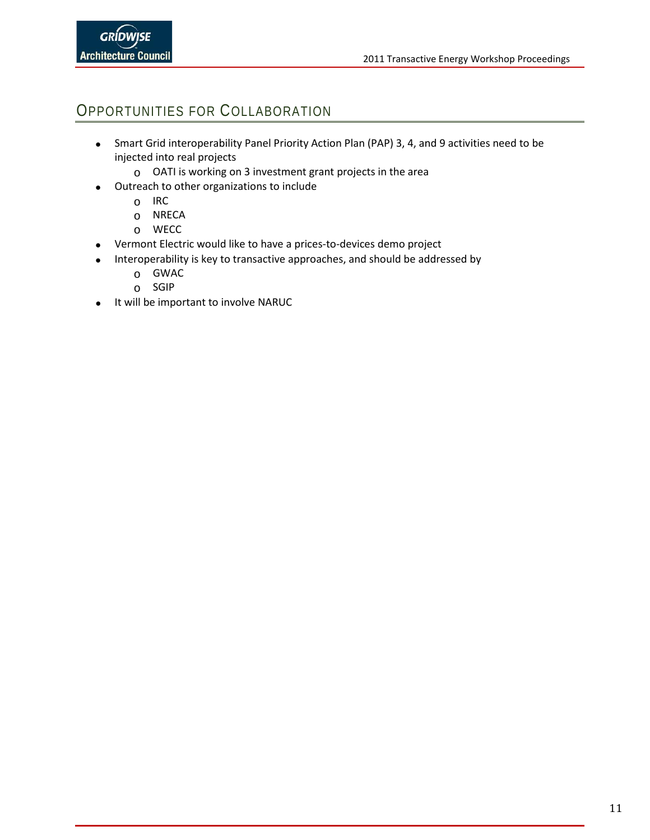### <span id="page-12-0"></span>OPPORTUNITIES FOR COLLABORATION

- Smart Grid interoperability Panel Priority Action Plan (PAP) 3, 4, and 9 activities need to be injected into real projects
	- o OATI is working on 3 investment grant projects in the area
- Outreach to other organizations to include
	- o IRC
	- o NRECA
	- o WECC
- Vermont Electric would like to have a prices-to-devices demo project
- Interoperability is key to transactive approaches, and should be addressed by
	- o GWAC
	- o SGIP
- It will be important to involve NARUC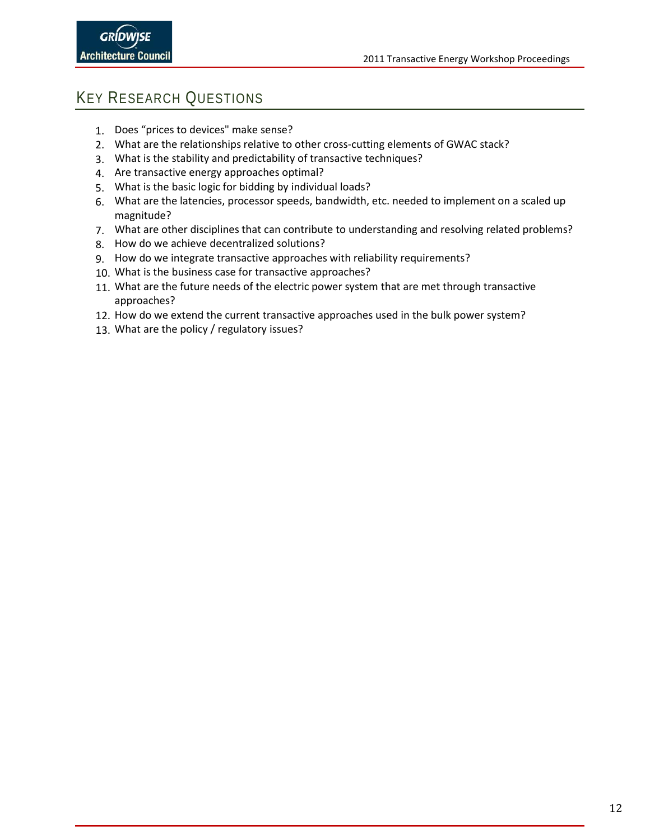## <span id="page-13-0"></span>KEY RESEARCH QUESTIONS

- 1. Does "prices to devices" make sense?
- 2. What are the relationships relative to other cross-cutting elements of GWAC stack?
- 3. What is the stability and predictability of transactive techniques?
- 4. Are transactive energy approaches optimal?
- 5. What is the basic logic for bidding by individual loads?
- 6. What are the latencies, processor speeds, bandwidth, etc. needed to implement on a scaled up magnitude?
- 7. What are other disciplines that can contribute to understanding and resolving related problems?
- 8. How do we achieve decentralized solutions?
- 9. How do we integrate transactive approaches with reliability requirements?
- 10. What is the business case for transactive approaches?
- 11. What are the future needs of the electric power system that are met through transactive approaches?
- 12. How do we extend the current transactive approaches used in the bulk power system?
- 13. What are the policy / regulatory issues?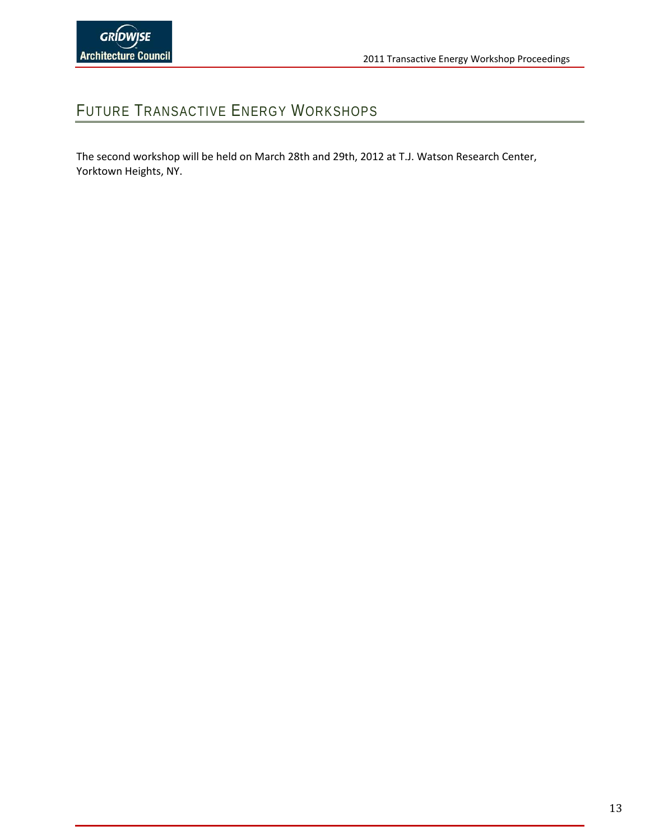## <span id="page-14-0"></span>FUTURE TRANSACTIVE ENERGY WORKSHOPS

The second workshop will be held on March 28th and 29th, 2012 at T.J. Watson Research Center, Yorktown Heights, NY.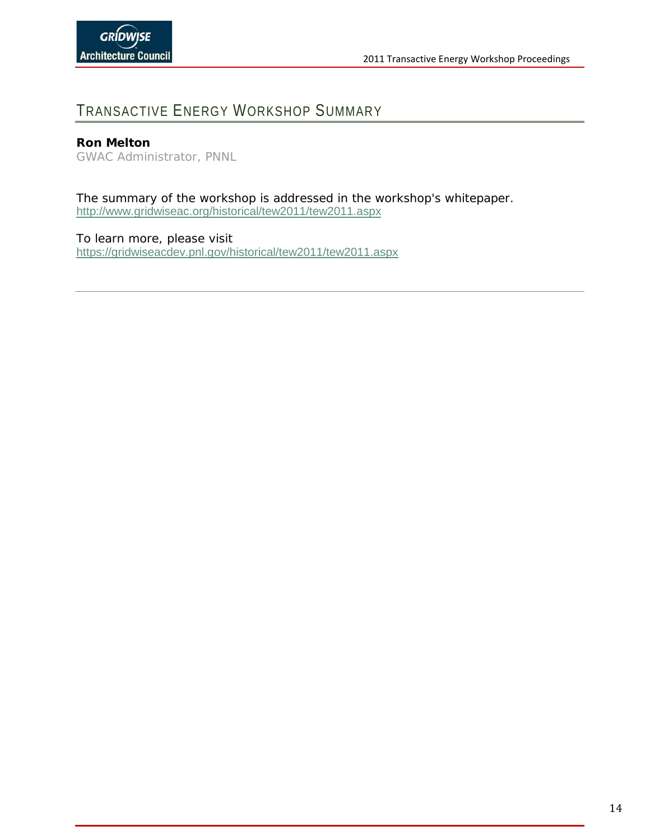## <span id="page-15-0"></span>TRANSACTIVE ENERGY WORKSHOP SUMMARY

### **Ron Melton**

*GWAC Administrator, PNNL*

The summary of the workshop is addressed in the workshop's whitepaper. <http://www.gridwiseac.org/historical/tew2011/tew2011.aspx>

To learn more, please visit <https://gridwiseacdev.pnl.gov/historical/tew2011/tew2011.aspx>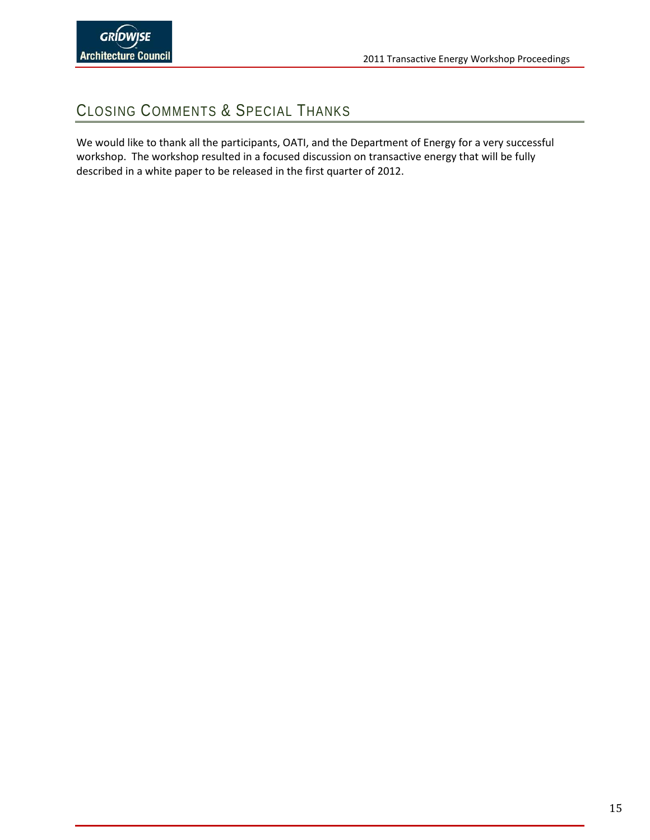## <span id="page-16-0"></span>CLOSING COMMENTS & SPECIAL THANKS

We would like to thank all the participants, OATI, and the Department of Energy for a very successful workshop. The workshop resulted in a focused discussion on transactive energy that will be fully described in a white paper to be released in the first quarter of 2012.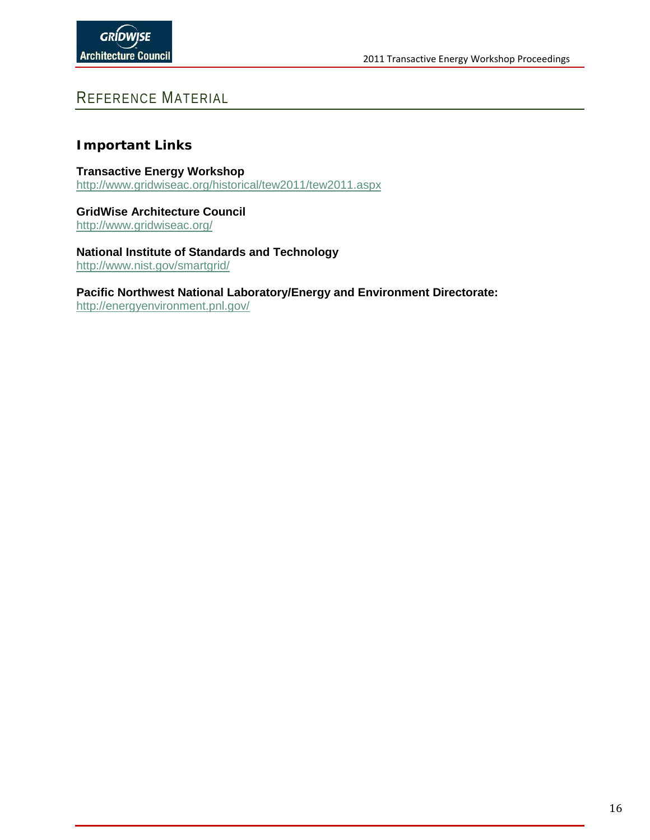### <span id="page-17-0"></span>REFERENCE MATERIAL

### **Important Links**

**Transactive Energy Workshop** <http://www.gridwiseac.org/historical/tew2011/tew2011.aspx>

**GridWise Architecture Council** [http://www.gridwiseac.org/](http://www.pointview.com/data/2009/11/32/pdf/Donald-Hammerstrom-4631.pdf)

**National Institute of Standards and Technology** [http://www.nist.gov/smartgrid/](http://www.pointview.com/data/2009/11/32/pdf/Andrew-Howe-4679.pdf)

**Pacific Northwest National Laboratory/Energy and Environment Directorate:**

[http://energyenvironment.pnl.gov/](http://www.pointview.com/data/2009/11/32/pdf/Junichi-Takeuchi-5030.pdf)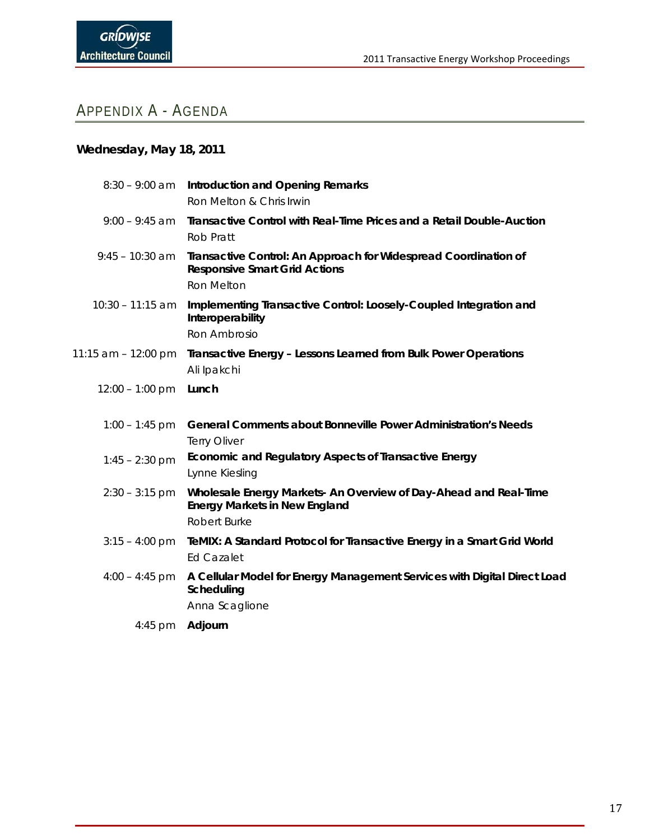## <span id="page-18-0"></span>APPENDIX A - AGENDA

### **Wednesday, May 18, 2011**

|                       | 8:30 - 9:00 am Introduction and Opening Remarks<br>Ron Melton & Chris Irwin                                                     |
|-----------------------|---------------------------------------------------------------------------------------------------------------------------------|
| $9:00 - 9:45$ am      | Transactive Control with Real-Time Prices and a Retail Double-Auction<br>Rob Pratt                                              |
| $9:45 - 10:30$ am     | Transactive Control: An Approach for Widespread Coordination of<br><b>Responsive Smart Grid Actions</b><br><b>Ron Melton</b>    |
| $10:30 - 11:15$ am    | Implementing Transactive Control: Loosely-Coupled Integration and<br>Interoperability<br>Ron Ambrosio                           |
| 11:15 am $-$ 12:00 pm | Transactive Energy - Lessons Learned from Bulk Power Operations<br>Ali Ipakchi                                                  |
| $12:00 - 1:00$ pm     | Lunch                                                                                                                           |
| $1:00 - 1:45$ pm      | <b>General Comments about Bonneville Power Administration's Needs</b><br><b>Terry Oliver</b>                                    |
| $1:45 - 2:30$ pm      | Economic and Regulatory Aspects of Transactive Energy<br>Lynne Kiesling                                                         |
| $2:30 - 3:15$ pm      | Wholesale Energy Markets- An Overview of Day-Ahead and Real-Time<br><b>Energy Markets in New England</b><br><b>Robert Burke</b> |
| $3:15 - 4:00$ pm      | TeMIX: A Standard Protocol for Transactive Energy in a Smart Grid World<br><b>Ed Cazalet</b>                                    |
| $4:00 - 4:45$ pm      | A Cellular Model for Energy Management Services with Digital Direct Load<br>Scheduling                                          |
|                       | Anna Scaglione                                                                                                                  |
| 4:45 pm               | Adjourn                                                                                                                         |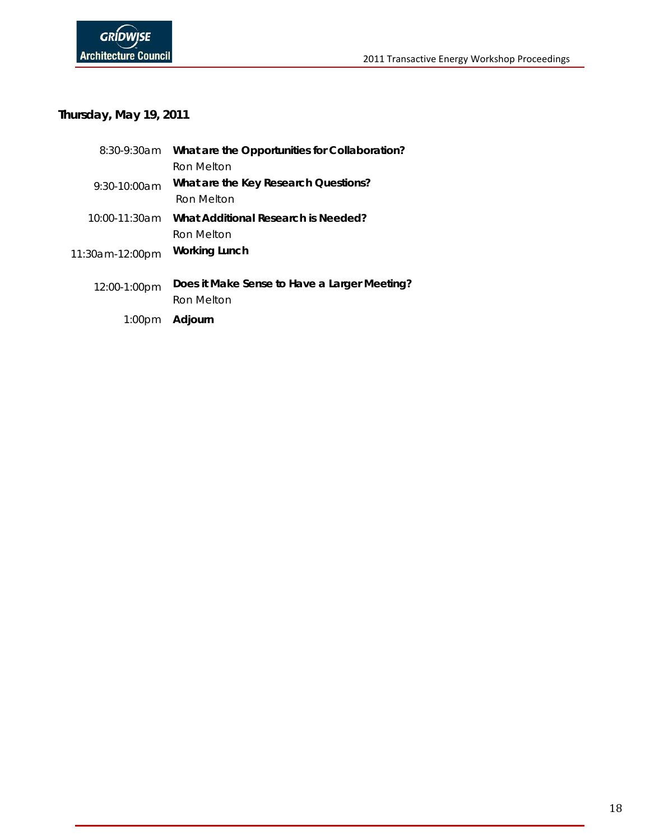### **Thursday, May 19, 2011**

| 8:30-9:30am        | What are the Opportunities for Collaboration? |
|--------------------|-----------------------------------------------|
|                    | Ron Melton                                    |
| $9:30-10:00am$     | What are the Key Research Questions?          |
|                    | Ron Melton                                    |
| 10:00-11:30am      | What Additional Research is Needed?           |
|                    | Ron Melton                                    |
| 11:30am-12:00pm    | Working Lunch                                 |
|                    | Does it Make Sense to Have a Larger Meeting?  |
| 12:00-1:00pm       | Ron Melton                                    |
|                    |                                               |
| 1:00 <sub>pm</sub> | Adjourn                                       |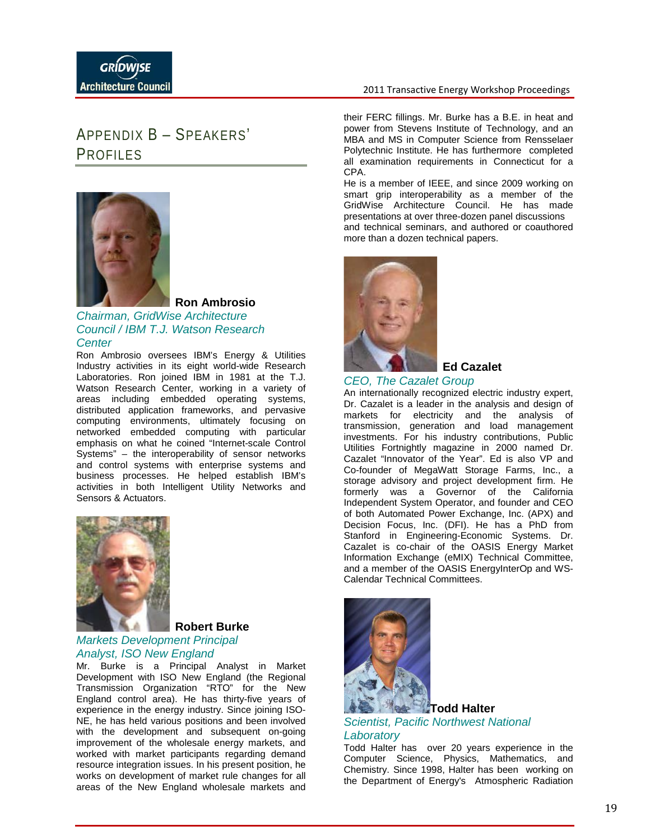#### 2011 Transactive Energy Workshop Proceedings

## <span id="page-20-0"></span>APPENDIX B – SPEAKERS' PROFILES



**Ron Ambrosio**

#### *Chairman, GridWise Architecture Council / IBM T.J. Watson Research Center*

Ron Ambrosio oversees IBM's Energy & Utilities Industry activities in its eight world-wide Research Laboratories. Ron joined IBM in 1981 at the T.J. Watson Research Center, working in a variety of areas including embedded operating systems, distributed application frameworks, and pervasive computing environments, ultimately focusing on networked embedded computing with particular emphasis on what he coined "Internet-scale Control Systems" – the interoperability of sensor networks and control systems with enterprise systems and business processes. He helped establish IBM's activities in both Intelligent Utility Networks and Sensors & Actuators.



#### **Robert Burke**

### *Markets Development Principal Analyst, ISO New England*

Mr. Burke is a Principal Analyst in Market Development with ISO New England (the Regional Transmission Organization "RTO" for the New England control area). He has thirty-five years of experience in the energy industry. Since joining ISO-NE, he has held various positions and been involved with the development and subsequent on-going improvement of the wholesale energy markets, and worked with market participants regarding demand resource integration issues. In his present position, he works on development of market rule changes for all areas of the New England wholesale markets and

their FERC fillings. Mr. Burke has a B.E. in heat and power from Stevens Institute of Technology, and an MBA and MS in Computer Science from Rensselaer Polytechnic Institute. He has furthermore completed all examination requirements in Connecticut for a CPA.

He is a member of IEEE, and since 2009 working on smart grip interoperability as a member of the GridWise Architecture Council. He has made presentations at over three-dozen panel discussions and technical seminars, and authored or coauthored more than a dozen technical papers.



**Ed Cazalet**

#### *CEO, The Cazalet Group*

An internationally recognized electric industry expert, Dr. Cazalet is a leader in the analysis and design of markets for electricity and the analysis of transmission, generation and load management investments. For his industry contributions, Public Utilities Fortnightly magazine in 2000 named Dr. Cazalet "Innovator of the Year". Ed is also VP and Co-founder of MegaWatt Storage Farms, Inc., a storage advisory and project development firm. He formerly was a Governor of the California Independent System Operator, and founder and CEO of both Automated Power Exchange, Inc. (APX) and Decision Focus, Inc. (DFI). He has a PhD from Stanford in Engineering-Economic Systems. Dr. Cazalet is co-chair of the OASIS Energy Market Information Exchange (eMIX) Technical Committee, and a member of the OASIS EnergyInterOp and WS-Calendar Technical Committees.



### *Scientist, Pacific Northwest National Laboratory*

Todd Halter has over 20 years experience in the Computer Science, Physics, Mathematics, and Chemistry. Since 1998, Halter has been working on the Department of Energy's Atmospheric Radiation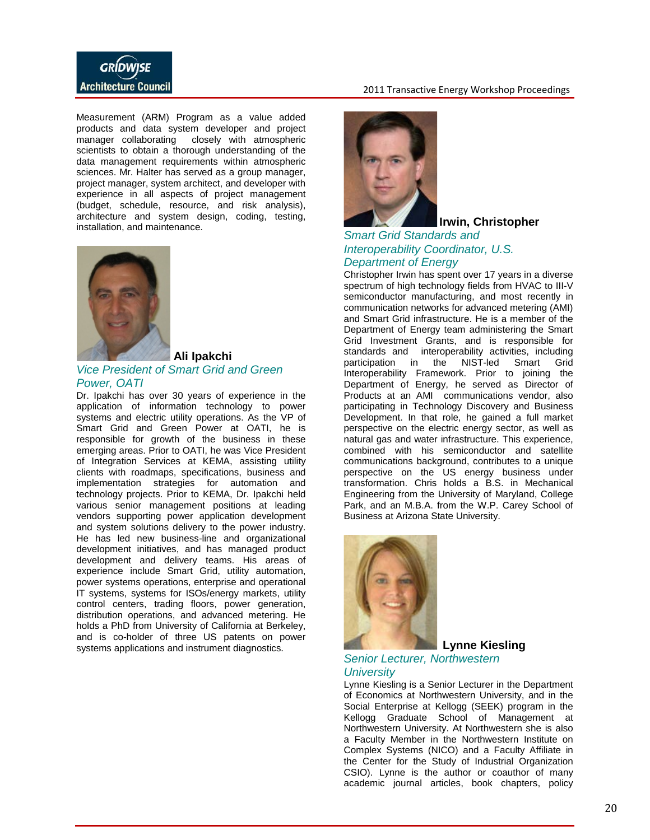

Measurement (ARM) Program as a value added products and data system developer and project manager collaborating closely with atmospheric scientists to obtain a thorough understanding of the data management requirements within atmospheric sciences. Mr. Halter has served as a group manager, project manager, system architect, and developer with experience in all aspects of project management (budget, schedule, resource, and risk analysis), architecture and system design, coding, testing, installation, and maintenance.



#### **Ali Ipakchi**

#### *Vice President of Smart Grid and Green Power, OATI*

Dr. Ipakchi has over 30 years of experience in the application of information technology to power systems and electric utility operations. As the VP of Smart Grid and Green Power at OATI, he is responsible for growth of the business in these emerging areas. Prior to OATI, he was Vice President of Integration Services at KEMA, assisting utility clients with roadmaps, specifications, business and implementation strategies for automation and technology projects. Prior to KEMA, Dr. Ipakchi held various senior management positions at leading vendors supporting power application development and system solutions delivery to the power industry. He has led new business-line and organizational development initiatives, and has managed product development and delivery teams. His areas of experience include Smart Grid, utility automation, power systems operations, enterprise and operational IT systems, systems for ISOs/energy markets, utility control centers, trading floors, power generation, distribution operations, and advanced metering. He holds a PhD from University of California at Berkeley, and is co-holder of three US patents on power systems applications and instrument diagnostics.



#### **Irwin, Christopher**

### *Smart Grid Standards and Interoperability Coordinator, U.S. Department of Energy*

Christopher Irwin has spent over 17 years in a diverse spectrum of high technology fields from HVAC to III-V semiconductor manufacturing, and most recently in communication networks for advanced metering (AMI) and Smart Grid infrastructure. He is a member of the Department of Energy team administering the Smart Grid Investment Grants, and is responsible for standards and interoperability activities, including<br>participation in the NIST-led Smart Grid participation in the NIST-led Smart Interoperability Framework. Prior to joining the Department of Energy, he served as Director of Products at an AMI communications vendor, also participating in Technology Discovery and Business Development. In that role, he gained a full market perspective on the electric energy sector, as well as natural gas and water infrastructure. This experience, combined with his semiconductor and satellite communications background, contributes to a unique perspective on the US energy business under transformation. Chris holds a B.S. in Mechanical Engineering from the University of Maryland, College Park, and an M.B.A. from the W.P. Carey School of Business at Arizona State University.



### **Lynne Kiesling**

#### *Senior Lecturer, Northwestern University*

Lynne Kiesling is a Senior Lecturer in the Department of Economics at Northwestern University, and in the Social Enterprise at Kellogg (SEEK) program in the Kellogg Graduate School of Management at Northwestern University. At Northwestern she is also a Faculty Member in the Northwestern Institute on Complex Systems (NICO) and a Faculty Affiliate in the Center for the Study of Industrial Organization CSIO). Lynne is the author or coauthor of many academic journal articles, book chapters, policy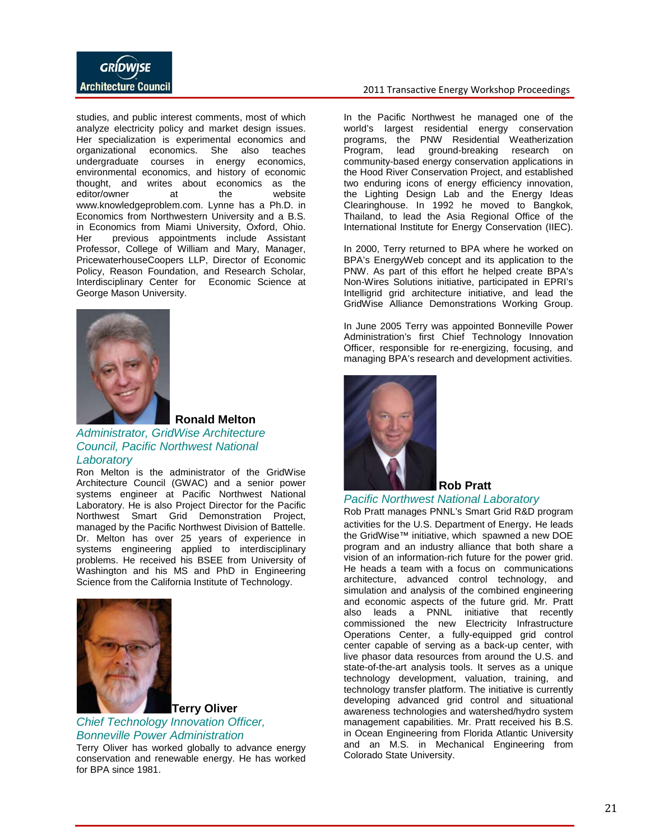

studies, and public interest comments, most of which analyze electricity policy and market design issues. Her specialization is experimental economics and organizational economics. She also teaches undergraduate courses in energy economics, environmental economics, and history of economic thought, and writes about economics as the editor/owner at the website www.knowledgeproblem.com. Lynne has a Ph.D. in Economics from Northwestern University and a B.S. in Economics from Miami University, Oxford, Ohio. Her previous appointments include Assistant Professor, College of William and Mary, Manager, PricewaterhouseCoopers LLP, Director of Economic Policy, Reason Foundation, and Research Scholar, Interdisciplinary Center for Economic Science at George Mason University.



**Ronald Melton**

### *Administrator, GridWise Architecture Council, Pacific Northwest National Laboratory*

Ron Melton is the administrator of the GridWise Architecture Council (GWAC) and a senior power systems engineer at Pacific Northwest National Laboratory. He is also Project Director for the Pacific Northwest Smart Grid Demonstration Project, managed by the Pacific Northwest Division of Battelle. Dr. Melton has over 25 years of experience in systems engineering applied to interdisciplinary problems. He received his BSEE from University of Washington and his MS and PhD in Engineering Science from the California Institute of Technology.



### **Terry Oliver** *Chief Technology Innovation Officer, Bonneville Power Administration*

Terry Oliver has worked globally to advance energy conservation and renewable energy. He has worked for BPA since 1981.

#### 2011 Transactive Energy Workshop Proceedings

In the Pacific Northwest he managed one of the world's largest residential energy conservation programs, the PNW Residential Weatherization Program, lead ground-breaking research on community-based energy conservation applications in the Hood River Conservation Project, and established two enduring icons of energy efficiency innovation, the Lighting Design Lab and the Energy Ideas Clearinghouse. In 1992 he moved to Bangkok, Thailand, to lead the Asia Regional Office of the International Institute for Energy Conservation (IIEC).

In 2000, Terry returned to BPA where he worked on BPA's EnergyWeb concept and its application to the PNW. As part of this effort he helped create BPA's Non-Wires Solutions initiative, participated in EPRI's Intelligrid grid architecture initiative, and lead the GridWise Alliance Demonstrations Working Group.

In June 2005 Terry was appointed Bonneville Power Administration's first Chief Technology Innovation Officer, responsible for re-energizing, focusing, and managing BPA's research and development activities.



### **Rob Pratt**

#### *Pacific Northwest National Laboratory*

Rob Pratt manages PNNL's Smart Grid R&D program activities for the U.S. Department of Energy. He leads the GridWise™ initiative, which spawned a new DOE program and an industry alliance that both share a vision of an information-rich future for the power grid. He heads a team with a focus on communications architecture, advanced control technology, and simulation and analysis of the combined engineering and economic aspects of the future grid. Mr. Pratt also leads a PNNL initiative that recently commissioned the new Electricity Infrastructure Operations Center, a fully-equipped grid control center capable of serving as a back-up center, with live phasor data resources from around the U.S. and state-of-the-art analysis tools. It serves as a unique technology development, valuation, training, and technology transfer platform. The initiative is currently developing advanced grid control and situational awareness technologies and watershed/hydro system management capabilities. Mr. Pratt received his B.S. in Ocean Engineering from Florida Atlantic University and an M.S. in Mechanical Engineering from Colorado State University.